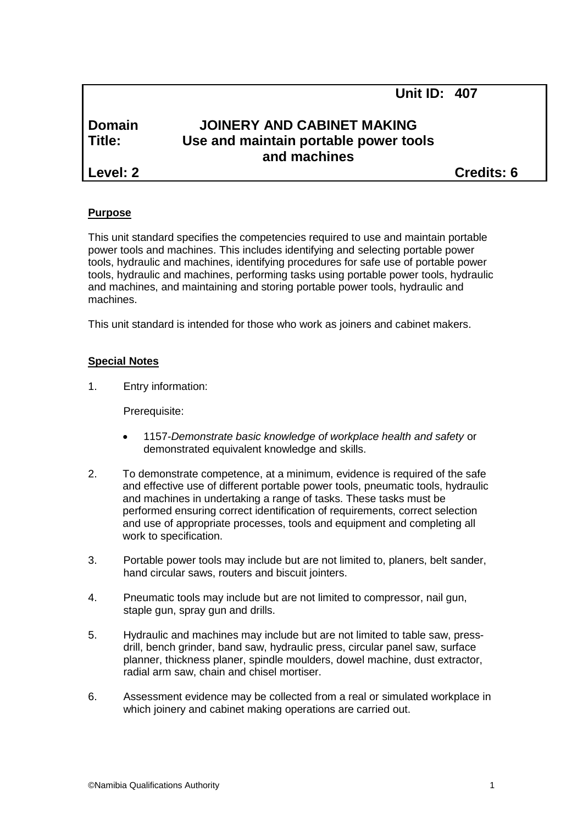# **Domain JOINERY AND CABINET MAKING Title: Use and maintain portable power tools and machines**

**Level: 2 Credits: 6**

**Unit ID: 407**

## **Purpose**

This unit standard specifies the competencies required to use and maintain portable power tools and machines. This includes identifying and selecting portable power tools, hydraulic and machines, identifying procedures for safe use of portable power tools, hydraulic and machines, performing tasks using portable power tools, hydraulic and machines, and maintaining and storing portable power tools, hydraulic and machines.

This unit standard is intended for those who work as joiners and cabinet makers.

# **Special Notes**

1. Entry information:

Prerequisite:

- 1157*-Demonstrate basic knowledge of workplace health and safety* or demonstrated equivalent knowledge and skills.
- 2. To demonstrate competence, at a minimum, evidence is required of the safe and effective use of different portable power tools, pneumatic tools, hydraulic and machines in undertaking a range of tasks. These tasks must be performed ensuring correct identification of requirements, correct selection and use of appropriate processes, tools and equipment and completing all work to specification.
- 3. Portable power tools may include but are not limited to, planers, belt sander, hand circular saws, routers and biscuit jointers.
- 4. Pneumatic tools may include but are not limited to compressor, nail gun, staple gun, spray gun and drills.
- 5. Hydraulic and machines may include but are not limited to table saw, pressdrill, bench grinder, band saw, hydraulic press, circular panel saw, surface planner, thickness planer, spindle moulders, dowel machine, dust extractor, radial arm saw, chain and chisel mortiser.
- 6. Assessment evidence may be collected from a real or simulated workplace in which joinery and cabinet making operations are carried out.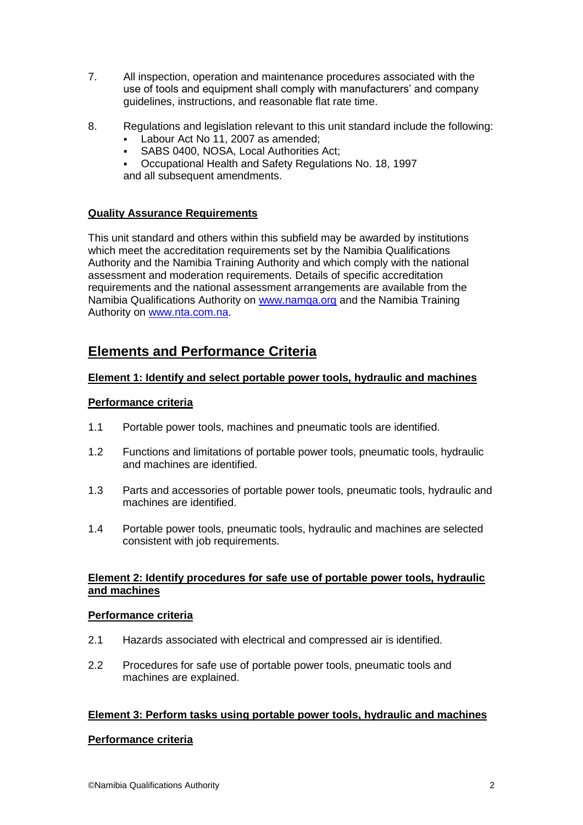- 7. All inspection, operation and maintenance procedures associated with the use of tools and equipment shall comply with manufacturers' and company guidelines, instructions, and reasonable flat rate time.
- 8. Regulations and legislation relevant to this unit standard include the following:
	- Labour Act No 11, 2007 as amended;
	- SABS 0400, NOSA, Local Authorities Act;
	- Occupational Health and Safety Regulations No. 18, 1997 and all subsequent amendments.

## **Quality Assurance Requirements**

This unit standard and others within this subfield may be awarded by institutions which meet the accreditation requirements set by the Namibia Qualifications Authority and the Namibia Training Authority and which comply with the national assessment and moderation requirements. Details of specific accreditation requirements and the national assessment arrangements are available from the Namibia Qualifications Authority on [www.namqa.org](http://www.namqa.org/) and the Namibia Training Authority on [www.nta.com.na.](http://www.nta.com.na/)

# **Elements and Performance Criteria**

## **Element 1: Identify and select portable power tools, hydraulic and machines**

## **Performance criteria**

- 1.1 Portable power tools, machines and pneumatic tools are identified.
- 1.2 Functions and limitations of portable power tools, pneumatic tools, hydraulic and machines are identified.
- 1.3 Parts and accessories of portable power tools, pneumatic tools, hydraulic and machines are identified.
- 1.4 Portable power tools, pneumatic tools, hydraulic and machines are selected consistent with job requirements.

## **Element 2: Identify procedures for safe use of portable power tools, hydraulic and machines**

## **Performance criteria**

- 2.1 Hazards associated with electrical and compressed air is identified.
- 2.2 Procedures for safe use of portable power tools, pneumatic tools and machines are explained.

## **Element 3: Perform tasks using portable power tools, hydraulic and machines**

## **Performance criteria**